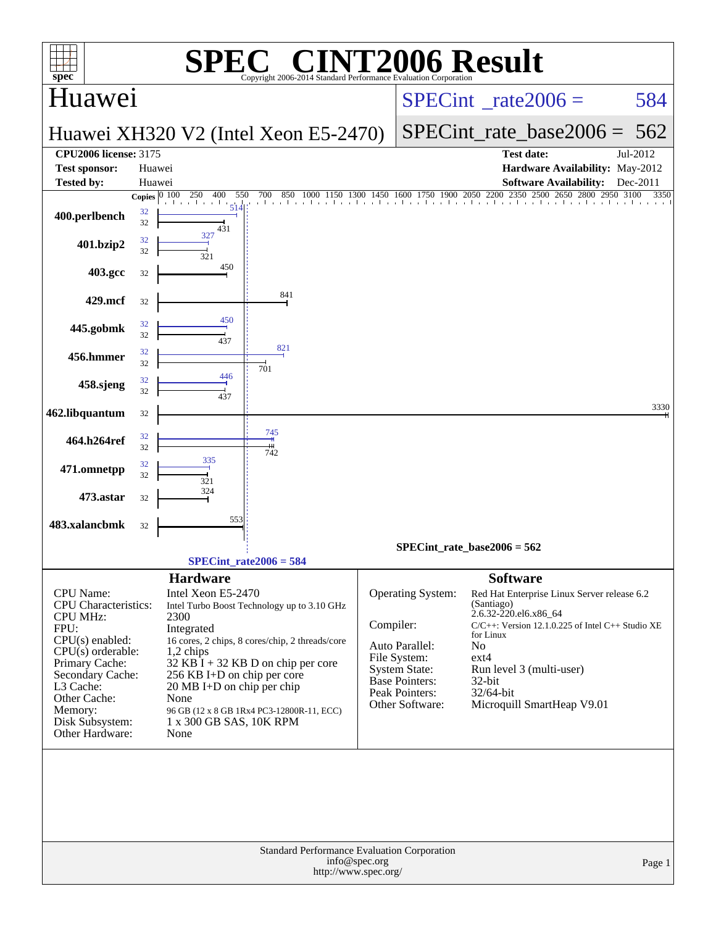| <b>INT2006 Result</b><br>$\mathbf{I}^{\bullet}(\mathbb{R})$<br>SPE<br>$spec^*$<br>Copyright 2006-2014 Standard Performance Evaluation Corporation                                                                                   |                                    |                                                                                                                                                                                            |                                                                                                                                                                                     |                                          |                                                                                                                                                  |                                                                                                                             |                                                                                                                                                                |          |  |  |
|-------------------------------------------------------------------------------------------------------------------------------------------------------------------------------------------------------------------------------------|------------------------------------|--------------------------------------------------------------------------------------------------------------------------------------------------------------------------------------------|-------------------------------------------------------------------------------------------------------------------------------------------------------------------------------------|------------------------------------------|--------------------------------------------------------------------------------------------------------------------------------------------------|-----------------------------------------------------------------------------------------------------------------------------|----------------------------------------------------------------------------------------------------------------------------------------------------------------|----------|--|--|
| Huawei                                                                                                                                                                                                                              |                                    |                                                                                                                                                                                            |                                                                                                                                                                                     | $SPECint^{\circ}$ <sub>_rate2006</sub> = |                                                                                                                                                  |                                                                                                                             | 584                                                                                                                                                            |          |  |  |
|                                                                                                                                                                                                                                     |                                    |                                                                                                                                                                                            | Huawei XH320 V2 (Intel Xeon E5-2470)                                                                                                                                                |                                          |                                                                                                                                                  | $SPECint_rate\_base2006 =$                                                                                                  | 562                                                                                                                                                            |          |  |  |
| <b>CPU2006 license: 3175</b>                                                                                                                                                                                                        |                                    |                                                                                                                                                                                            |                                                                                                                                                                                     |                                          |                                                                                                                                                  |                                                                                                                             | <b>Test date:</b>                                                                                                                                              | Jul-2012 |  |  |
| <b>Test sponsor:</b><br><b>Tested by:</b>                                                                                                                                                                                           | Huawei                             |                                                                                                                                                                                            |                                                                                                                                                                                     |                                          |                                                                                                                                                  |                                                                                                                             | Hardware Availability: May-2012                                                                                                                                | Dec-2011 |  |  |
|                                                                                                                                                                                                                                     | Huawei<br>Copies $\overline{0100}$ | 250<br>400<br>550                                                                                                                                                                          | 700 850 1000 1150 1300 1450 1600 1750 1900 2050 2200 2350 2500 2650 2800 2950 3100                                                                                                  |                                          |                                                                                                                                                  |                                                                                                                             | <b>Software Availability:</b>                                                                                                                                  | 3350     |  |  |
| 400.perlbench                                                                                                                                                                                                                       | 32<br>32                           | a basar bas<br>431                                                                                                                                                                         |                                                                                                                                                                                     |                                          |                                                                                                                                                  |                                                                                                                             |                                                                                                                                                                |          |  |  |
| 401.bzip2                                                                                                                                                                                                                           | 32<br>32                           | 327<br>321                                                                                                                                                                                 |                                                                                                                                                                                     |                                          |                                                                                                                                                  |                                                                                                                             |                                                                                                                                                                |          |  |  |
| 403.gcc                                                                                                                                                                                                                             | 32                                 | 450                                                                                                                                                                                        |                                                                                                                                                                                     |                                          |                                                                                                                                                  |                                                                                                                             |                                                                                                                                                                |          |  |  |
| 429.mcf                                                                                                                                                                                                                             | 32                                 | 450                                                                                                                                                                                        | 841                                                                                                                                                                                 |                                          |                                                                                                                                                  |                                                                                                                             |                                                                                                                                                                |          |  |  |
| 445.gobmk                                                                                                                                                                                                                           | 32<br>32                           | 437                                                                                                                                                                                        | 821                                                                                                                                                                                 |                                          |                                                                                                                                                  |                                                                                                                             |                                                                                                                                                                |          |  |  |
| 456.hmmer                                                                                                                                                                                                                           | 32<br>32                           | 446                                                                                                                                                                                        | 701                                                                                                                                                                                 |                                          |                                                                                                                                                  |                                                                                                                             |                                                                                                                                                                |          |  |  |
| 458.sjeng                                                                                                                                                                                                                           | 32<br>32                           | 437                                                                                                                                                                                        |                                                                                                                                                                                     |                                          |                                                                                                                                                  |                                                                                                                             |                                                                                                                                                                | 3330     |  |  |
| 462.libquantum                                                                                                                                                                                                                      | 32                                 |                                                                                                                                                                                            |                                                                                                                                                                                     |                                          |                                                                                                                                                  |                                                                                                                             |                                                                                                                                                                |          |  |  |
| 464.h264ref                                                                                                                                                                                                                         | 32<br>32                           |                                                                                                                                                                                            | 745<br>742                                                                                                                                                                          |                                          |                                                                                                                                                  |                                                                                                                             |                                                                                                                                                                |          |  |  |
| 471.omnetpp                                                                                                                                                                                                                         | 32<br>32                           | 335<br>321                                                                                                                                                                                 |                                                                                                                                                                                     |                                          |                                                                                                                                                  |                                                                                                                             |                                                                                                                                                                |          |  |  |
| 473.astar                                                                                                                                                                                                                           | 32                                 | 324                                                                                                                                                                                        |                                                                                                                                                                                     |                                          |                                                                                                                                                  |                                                                                                                             |                                                                                                                                                                |          |  |  |
| 483.xalancbmk                                                                                                                                                                                                                       | 32                                 | 553                                                                                                                                                                                        |                                                                                                                                                                                     |                                          |                                                                                                                                                  |                                                                                                                             |                                                                                                                                                                |          |  |  |
|                                                                                                                                                                                                                                     |                                    |                                                                                                                                                                                            | $SPECint_rate2006 = 584$                                                                                                                                                            |                                          | $SPECint_rate_base2006 = 562$                                                                                                                    |                                                                                                                             |                                                                                                                                                                |          |  |  |
| CPU Name:<br><b>CPU</b> Characteristics:<br><b>CPU MHz:</b><br>FPU:<br>$CPU(s)$ enabled:<br>$CPU(s)$ orderable:<br>Primary Cache:<br>Secondary Cache:<br>L3 Cache:<br>Other Cache:<br>Memory:<br>Disk Subsystem:<br>Other Hardware: |                                    | <b>Hardware</b><br>Intel Xeon E5-2470<br>2300<br>Integrated<br>1,2 chips<br>256 KB I+D on chip per core<br>$20 \text{ MB I+D}$ on chip per chip<br>None<br>1 x 300 GB SAS, 10K RPM<br>None | Intel Turbo Boost Technology up to 3.10 GHz<br>16 cores, 2 chips, 8 cores/chip, 2 threads/core<br>$32$ KB I + 32 KB D on chip per core<br>96 GB (12 x 8 GB 1Rx4 PC3-12800R-11, ECC) | Compiler:                                | <b>Operating System:</b><br>Auto Parallel:<br>File System:<br><b>System State:</b><br><b>Base Pointers:</b><br>Peak Pointers:<br>Other Software: | <b>Software</b><br>(Santiago)<br>2.6.32-220.el6.x86_64<br>for Linux<br>N <sub>o</sub><br>$ext{4}$<br>$32$ -bit<br>32/64-bit | Red Hat Enterprise Linux Server release 6.2<br>$C/C++$ : Version 12.1.0.225 of Intel $C++$ Studio XE<br>Run level 3 (multi-user)<br>Microquill SmartHeap V9.01 |          |  |  |
|                                                                                                                                                                                                                                     |                                    |                                                                                                                                                                                            | Standard Performance Evaluation Corporation<br>http://www.spec.org/                                                                                                                 | info@spec.org                            |                                                                                                                                                  |                                                                                                                             |                                                                                                                                                                | Page 1   |  |  |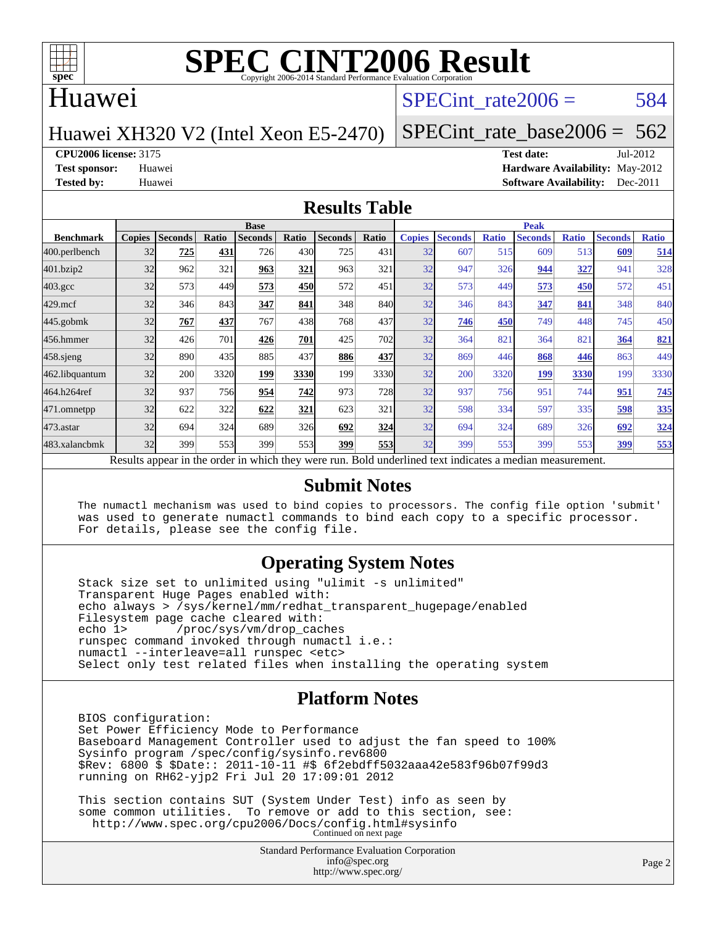

#### Huawei

#### SPECint rate $2006 = 584$

Huawei XH320 V2 (Intel Xeon E5-2470)

[SPECint\\_rate\\_base2006 =](http://www.spec.org/auto/cpu2006/Docs/result-fields.html#SPECintratebase2006)  $562$ 

**[CPU2006 license:](http://www.spec.org/auto/cpu2006/Docs/result-fields.html#CPU2006license)** 3175 **[Test date:](http://www.spec.org/auto/cpu2006/Docs/result-fields.html#Testdate)** Jul-2012

**[Test sponsor:](http://www.spec.org/auto/cpu2006/Docs/result-fields.html#Testsponsor)** Huawei **[Hardware Availability:](http://www.spec.org/auto/cpu2006/Docs/result-fields.html#HardwareAvailability)** May-2012 **[Tested by:](http://www.spec.org/auto/cpu2006/Docs/result-fields.html#Testedby)** Huawei **[Software Availability:](http://www.spec.org/auto/cpu2006/Docs/result-fields.html#SoftwareAvailability)** Dec-2011

#### **[Results Table](http://www.spec.org/auto/cpu2006/Docs/result-fields.html#ResultsTable)**

|                                                                                                          | <b>Base</b>   |                |              |                |                  |                |            | <b>Peak</b>   |                |              |                |              |                |              |  |
|----------------------------------------------------------------------------------------------------------|---------------|----------------|--------------|----------------|------------------|----------------|------------|---------------|----------------|--------------|----------------|--------------|----------------|--------------|--|
| <b>Benchmark</b>                                                                                         | <b>Copies</b> | <b>Seconds</b> | <b>Ratio</b> | <b>Seconds</b> | Ratio            | <b>Seconds</b> | Ratio      | <b>Copies</b> | <b>Seconds</b> | <b>Ratio</b> | <b>Seconds</b> | <b>Ratio</b> | <b>Seconds</b> | <b>Ratio</b> |  |
| 400.perlbench                                                                                            | 32            | 725            | 431          | 726            | 430              | 725            | 431        | 32            | 607            | 515          | 609            | 513          | 609            | 514          |  |
| 401.bzip2                                                                                                | 32            | 962            | 321          | 963            | 321              | 963            | 321        | 32            | 947            | 326          | 944            | <u>327</u>   | 941            | 328          |  |
| $403.\mathrm{gcc}$                                                                                       | 32            | 573            | 449          | 573            | 450              | 572            | 451        | 32            | 573            | 449          | 573            | 450          | 572            | 451          |  |
| $429$ .mcf                                                                                               | 32            | 346            | 843          | 347            | 841              | 348            | 840        | 32            | 346            | 843          | 347            | 841          | 348            | 840          |  |
| $445$ .gobmk                                                                                             | 32            | 767            | 437          | 767            | 438              | 768            | 437        | 32            | 746            | 450          | 749            | 448          | 745            | 450          |  |
| 456.hmmer                                                                                                | 32            | 426            | 701          | 426            | 701              | 425            | 702        | 32            | 364            | 821          | 364            | 821          | 364            | 821          |  |
| $458$ .sjeng                                                                                             | 32            | 890            | 435          | 885            | 437              | 886            | 437        | 32            | 869            | 446          | 868            | 446          | 863            | 449          |  |
| 462.libquantum                                                                                           | 32            | 200            | 3320         | 199            | 3330             | 199            | 3330       | 32            | 200            | 3320         | 199            | 3330         | 199            | 3330         |  |
| 464.h264ref                                                                                              | 32            | 937            | 756          | 954            | 742              | 973            | <b>728</b> | 32            | 937            | 756          | 951            | 744          | 951            | 745          |  |
| 471.omnetpp                                                                                              | 32            | 622            | 322          | 622            | 321              | 623            | 321        | 32            | 598            | 334          | 597            | 335          | 598            | 335          |  |
| $473$ . astar                                                                                            | 32            | 694            | 324          | 689            | <b>326</b>       | 692            | 324        | 32            | 694            | 324          | 689            | 326          | 692            | 324          |  |
| 483.xalancbmk                                                                                            | 32            | 399            | 553          | 399            | 553 <sup>I</sup> | 399            | 553        | 32            | 399            | 553          | 399            | 553          | 399            | 553          |  |
| Results appear in the order in which they were run. Bold underlined text indicates a median measurement. |               |                |              |                |                  |                |            |               |                |              |                |              |                |              |  |

#### **[Submit Notes](http://www.spec.org/auto/cpu2006/Docs/result-fields.html#SubmitNotes)**

 The numactl mechanism was used to bind copies to processors. The config file option 'submit' was used to generate numactl commands to bind each copy to a specific processor. For details, please see the config file.

#### **[Operating System Notes](http://www.spec.org/auto/cpu2006/Docs/result-fields.html#OperatingSystemNotes)**

 Stack size set to unlimited using "ulimit -s unlimited" Transparent Huge Pages enabled with: echo always > /sys/kernel/mm/redhat\_transparent\_hugepage/enabled Filesystem page cache cleared with:<br>echo 1> /proc/sys/vm/drop cac /proc/sys/vm/drop\_caches runspec command invoked through numactl i.e.: numactl --interleave=all runspec <etc> Select only test related files when installing the operating system

#### **[Platform Notes](http://www.spec.org/auto/cpu2006/Docs/result-fields.html#PlatformNotes)**

 BIOS configuration: Set Power Efficiency Mode to Performance Baseboard Management Controller used to adjust the fan speed to 100% Sysinfo program /spec/config/sysinfo.rev6800 \$Rev: 6800 \$ \$Date:: 2011-10-11 #\$ 6f2ebdff5032aaa42e583f96b07f99d3 running on RH62-yjp2 Fri Jul 20 17:09:01 2012

 This section contains SUT (System Under Test) info as seen by some common utilities. To remove or add to this section, see: <http://www.spec.org/cpu2006/Docs/config.html#sysinfo> Continued on next page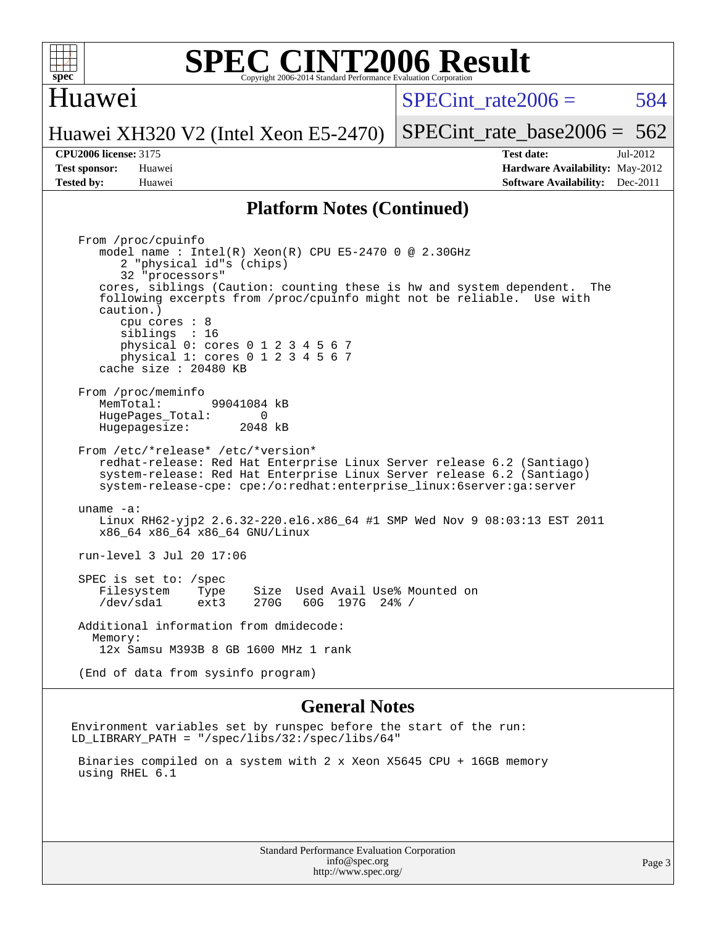

#### Huawei

 $SPECint rate2006 = 584$ 

[SPECint\\_rate\\_base2006 =](http://www.spec.org/auto/cpu2006/Docs/result-fields.html#SPECintratebase2006)  $562$ 

Huawei XH320 V2 (Intel Xeon E5-2470)

**[Tested by:](http://www.spec.org/auto/cpu2006/Docs/result-fields.html#Testedby)** Huawei **[Software Availability:](http://www.spec.org/auto/cpu2006/Docs/result-fields.html#SoftwareAvailability)** Dec-2011

**[CPU2006 license:](http://www.spec.org/auto/cpu2006/Docs/result-fields.html#CPU2006license)** 3175 **[Test date:](http://www.spec.org/auto/cpu2006/Docs/result-fields.html#Testdate)** Jul-2012 **[Test sponsor:](http://www.spec.org/auto/cpu2006/Docs/result-fields.html#Testsponsor)** Huawei **[Hardware Availability:](http://www.spec.org/auto/cpu2006/Docs/result-fields.html#HardwareAvailability)** May-2012

#### **[Platform Notes \(Continued\)](http://www.spec.org/auto/cpu2006/Docs/result-fields.html#PlatformNotes)**

 From /proc/cpuinfo model name : Intel(R) Xeon(R) CPU E5-2470 0 @ 2.30GHz 2 "physical id"s (chips) 32 "processors" cores, siblings (Caution: counting these is hw and system dependent. The following excerpts from /proc/cpuinfo might not be reliable. Use with caution.) cpu cores : 8 siblings : 16 physical 0: cores 0 1 2 3 4 5 6 7 physical 1: cores 0 1 2 3 4 5 6 7 cache size : 20480 KB From /proc/meminfo MemTotal: 99041084 kB<br>HugePages Total: 0 HugePages\_Total: 0 Hugepagesize: 2048 kB From /etc/\*release\* /etc/\*version\* redhat-release: Red Hat Enterprise Linux Server release 6.2 (Santiago) system-release: Red Hat Enterprise Linux Server release 6.2 (Santiago) system-release-cpe: cpe:/o:redhat:enterprise\_linux:6server:ga:server uname -a: Linux RH62-yjp2 2.6.32-220.el6.x86\_64 #1 SMP Wed Nov 9 08:03:13 EST 2011 x86\_64 x86\_64 x86\_64 GNU/Linux run-level 3 Jul 20 17:06 SPEC is set to: /spec Filesystem Type Size Used Avail Use% Mounted on<br>
/dev/sdal ext3 270G 60G 197G 24% / /dev/sda1 ext3 270G 60G 197G 24% / Additional information from dmidecode: Memory: 12x Samsu M393B 8 GB 1600 MHz 1 rank (End of data from sysinfo program)

#### **[General Notes](http://www.spec.org/auto/cpu2006/Docs/result-fields.html#GeneralNotes)**

Environment variables set by runspec before the start of the run: LD\_LIBRARY\_PATH = "/spec/libs/32:/spec/libs/64"

 Binaries compiled on a system with 2 x Xeon X5645 CPU + 16GB memory using RHEL 6.1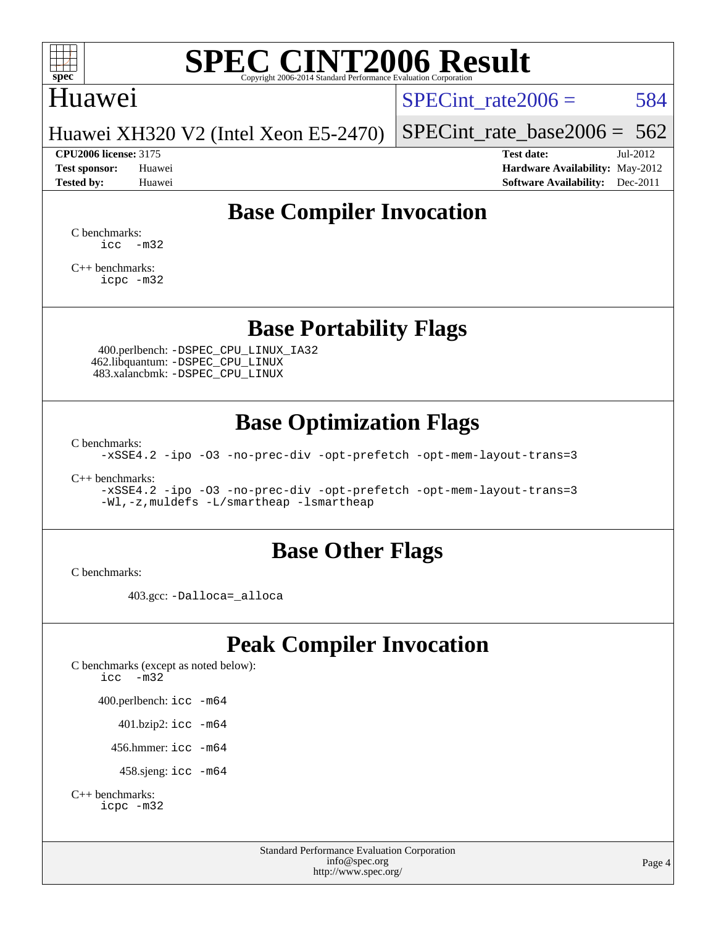

### Huawei

SPECint rate $2006 = 584$ 

Huawei XH320 V2 (Intel Xeon E5-2470)

[SPECint\\_rate\\_base2006 =](http://www.spec.org/auto/cpu2006/Docs/result-fields.html#SPECintratebase2006)  $562$ **[CPU2006 license:](http://www.spec.org/auto/cpu2006/Docs/result-fields.html#CPU2006license)** 3175 **[Test date:](http://www.spec.org/auto/cpu2006/Docs/result-fields.html#Testdate)** Jul-2012

**[Test sponsor:](http://www.spec.org/auto/cpu2006/Docs/result-fields.html#Testsponsor)** Huawei **[Hardware Availability:](http://www.spec.org/auto/cpu2006/Docs/result-fields.html#HardwareAvailability)** May-2012 **[Tested by:](http://www.spec.org/auto/cpu2006/Docs/result-fields.html#Testedby)** Huawei **[Software Availability:](http://www.spec.org/auto/cpu2006/Docs/result-fields.html#SoftwareAvailability)** Dec-2011

### **[Base Compiler Invocation](http://www.spec.org/auto/cpu2006/Docs/result-fields.html#BaseCompilerInvocation)**

[C benchmarks](http://www.spec.org/auto/cpu2006/Docs/result-fields.html#Cbenchmarks):  $\text{icc}$   $-\text{m32}$ 

[C++ benchmarks:](http://www.spec.org/auto/cpu2006/Docs/result-fields.html#CXXbenchmarks) [icpc -m32](http://www.spec.org/cpu2006/results/res2012q3/cpu2006-20120725-23872.flags.html#user_CXXbase_intel_icpc_4e5a5ef1a53fd332b3c49e69c3330699)

**[Base Portability Flags](http://www.spec.org/auto/cpu2006/Docs/result-fields.html#BasePortabilityFlags)**

 400.perlbench: [-DSPEC\\_CPU\\_LINUX\\_IA32](http://www.spec.org/cpu2006/results/res2012q3/cpu2006-20120725-23872.flags.html#b400.perlbench_baseCPORTABILITY_DSPEC_CPU_LINUX_IA32) 462.libquantum: [-DSPEC\\_CPU\\_LINUX](http://www.spec.org/cpu2006/results/res2012q3/cpu2006-20120725-23872.flags.html#b462.libquantum_baseCPORTABILITY_DSPEC_CPU_LINUX) 483.xalancbmk: [-DSPEC\\_CPU\\_LINUX](http://www.spec.org/cpu2006/results/res2012q3/cpu2006-20120725-23872.flags.html#b483.xalancbmk_baseCXXPORTABILITY_DSPEC_CPU_LINUX)

### **[Base Optimization Flags](http://www.spec.org/auto/cpu2006/Docs/result-fields.html#BaseOptimizationFlags)**

[C benchmarks](http://www.spec.org/auto/cpu2006/Docs/result-fields.html#Cbenchmarks):

[-xSSE4.2](http://www.spec.org/cpu2006/results/res2012q3/cpu2006-20120725-23872.flags.html#user_CCbase_f-xSSE42_f91528193cf0b216347adb8b939d4107) [-ipo](http://www.spec.org/cpu2006/results/res2012q3/cpu2006-20120725-23872.flags.html#user_CCbase_f-ipo) [-O3](http://www.spec.org/cpu2006/results/res2012q3/cpu2006-20120725-23872.flags.html#user_CCbase_f-O3) [-no-prec-div](http://www.spec.org/cpu2006/results/res2012q3/cpu2006-20120725-23872.flags.html#user_CCbase_f-no-prec-div) [-opt-prefetch](http://www.spec.org/cpu2006/results/res2012q3/cpu2006-20120725-23872.flags.html#user_CCbase_f-opt-prefetch) [-opt-mem-layout-trans=3](http://www.spec.org/cpu2006/results/res2012q3/cpu2006-20120725-23872.flags.html#user_CCbase_f-opt-mem-layout-trans_a7b82ad4bd7abf52556d4961a2ae94d5)

[C++ benchmarks:](http://www.spec.org/auto/cpu2006/Docs/result-fields.html#CXXbenchmarks)

[-xSSE4.2](http://www.spec.org/cpu2006/results/res2012q3/cpu2006-20120725-23872.flags.html#user_CXXbase_f-xSSE42_f91528193cf0b216347adb8b939d4107) [-ipo](http://www.spec.org/cpu2006/results/res2012q3/cpu2006-20120725-23872.flags.html#user_CXXbase_f-ipo) [-O3](http://www.spec.org/cpu2006/results/res2012q3/cpu2006-20120725-23872.flags.html#user_CXXbase_f-O3) [-no-prec-div](http://www.spec.org/cpu2006/results/res2012q3/cpu2006-20120725-23872.flags.html#user_CXXbase_f-no-prec-div) [-opt-prefetch](http://www.spec.org/cpu2006/results/res2012q3/cpu2006-20120725-23872.flags.html#user_CXXbase_f-opt-prefetch) [-opt-mem-layout-trans=3](http://www.spec.org/cpu2006/results/res2012q3/cpu2006-20120725-23872.flags.html#user_CXXbase_f-opt-mem-layout-trans_a7b82ad4bd7abf52556d4961a2ae94d5) [-Wl,-z,muldefs](http://www.spec.org/cpu2006/results/res2012q3/cpu2006-20120725-23872.flags.html#user_CXXbase_link_force_multiple1_74079c344b956b9658436fd1b6dd3a8a) [-L/smartheap -lsmartheap](http://www.spec.org/cpu2006/results/res2012q3/cpu2006-20120725-23872.flags.html#user_CXXbase_SmartHeap_7c9e394a5779e1a7fec7c221e123830c)

#### **[Base Other Flags](http://www.spec.org/auto/cpu2006/Docs/result-fields.html#BaseOtherFlags)**

[C benchmarks](http://www.spec.org/auto/cpu2006/Docs/result-fields.html#Cbenchmarks):

403.gcc: [-Dalloca=\\_alloca](http://www.spec.org/cpu2006/results/res2012q3/cpu2006-20120725-23872.flags.html#b403.gcc_baseEXTRA_CFLAGS_Dalloca_be3056838c12de2578596ca5467af7f3)

### **[Peak Compiler Invocation](http://www.spec.org/auto/cpu2006/Docs/result-fields.html#PeakCompilerInvocation)**

[C benchmarks \(except as noted below\)](http://www.spec.org/auto/cpu2006/Docs/result-fields.html#Cbenchmarksexceptasnotedbelow): [icc -m32](http://www.spec.org/cpu2006/results/res2012q3/cpu2006-20120725-23872.flags.html#user_CCpeak_intel_icc_5ff4a39e364c98233615fdd38438c6f2) 400.perlbench: [icc -m64](http://www.spec.org/cpu2006/results/res2012q3/cpu2006-20120725-23872.flags.html#user_peakCCLD400_perlbench_intel_icc_64bit_bda6cc9af1fdbb0edc3795bac97ada53) 401.bzip2: [icc -m64](http://www.spec.org/cpu2006/results/res2012q3/cpu2006-20120725-23872.flags.html#user_peakCCLD401_bzip2_intel_icc_64bit_bda6cc9af1fdbb0edc3795bac97ada53)

456.hmmer: [icc -m64](http://www.spec.org/cpu2006/results/res2012q3/cpu2006-20120725-23872.flags.html#user_peakCCLD456_hmmer_intel_icc_64bit_bda6cc9af1fdbb0edc3795bac97ada53)

458.sjeng: [icc -m64](http://www.spec.org/cpu2006/results/res2012q3/cpu2006-20120725-23872.flags.html#user_peakCCLD458_sjeng_intel_icc_64bit_bda6cc9af1fdbb0edc3795bac97ada53)

```
C++ benchmarks: 
    icpc -m32
```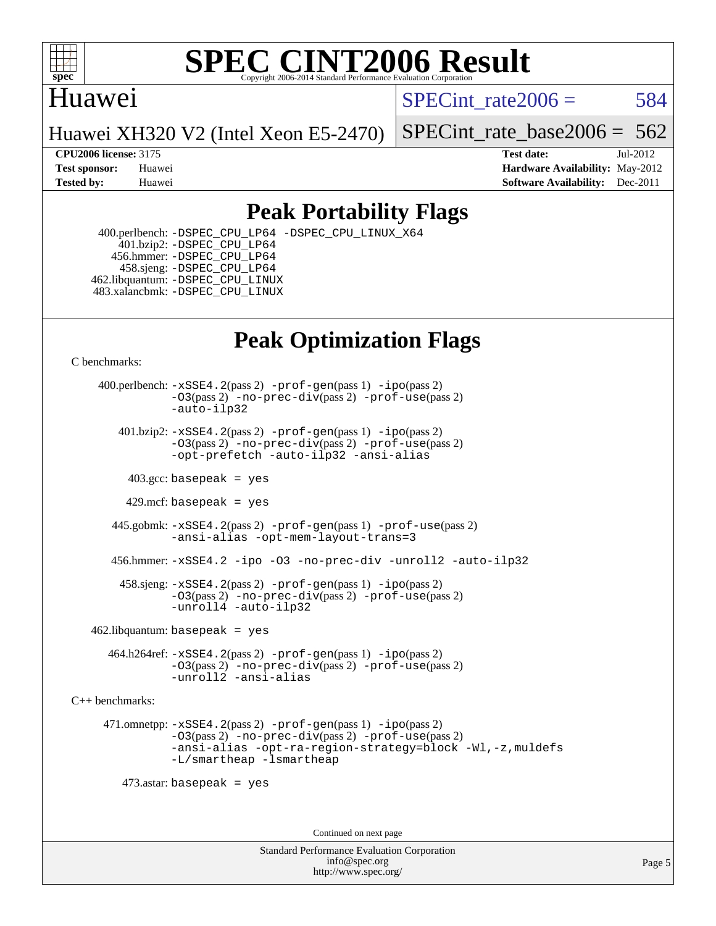

#### Huawei

SPECint rate $2006 = 584$ 

Huawei XH320 V2 (Intel Xeon E5-2470)

[SPECint\\_rate\\_base2006 =](http://www.spec.org/auto/cpu2006/Docs/result-fields.html#SPECintratebase2006)  $562$ 

**[CPU2006 license:](http://www.spec.org/auto/cpu2006/Docs/result-fields.html#CPU2006license)** 3175 **[Test date:](http://www.spec.org/auto/cpu2006/Docs/result-fields.html#Testdate)** Jul-2012 **[Test sponsor:](http://www.spec.org/auto/cpu2006/Docs/result-fields.html#Testsponsor)** Huawei **[Hardware Availability:](http://www.spec.org/auto/cpu2006/Docs/result-fields.html#HardwareAvailability)** May-2012 **[Tested by:](http://www.spec.org/auto/cpu2006/Docs/result-fields.html#Testedby)** Huawei **[Software Availability:](http://www.spec.org/auto/cpu2006/Docs/result-fields.html#SoftwareAvailability)** Dec-2011

### **[Peak Portability Flags](http://www.spec.org/auto/cpu2006/Docs/result-fields.html#PeakPortabilityFlags)**

 400.perlbench: [-DSPEC\\_CPU\\_LP64](http://www.spec.org/cpu2006/results/res2012q3/cpu2006-20120725-23872.flags.html#b400.perlbench_peakCPORTABILITY_DSPEC_CPU_LP64) [-DSPEC\\_CPU\\_LINUX\\_X64](http://www.spec.org/cpu2006/results/res2012q3/cpu2006-20120725-23872.flags.html#b400.perlbench_peakCPORTABILITY_DSPEC_CPU_LINUX_X64) 401.bzip2: [-DSPEC\\_CPU\\_LP64](http://www.spec.org/cpu2006/results/res2012q3/cpu2006-20120725-23872.flags.html#suite_peakCPORTABILITY401_bzip2_DSPEC_CPU_LP64) 456.hmmer: [-DSPEC\\_CPU\\_LP64](http://www.spec.org/cpu2006/results/res2012q3/cpu2006-20120725-23872.flags.html#suite_peakCPORTABILITY456_hmmer_DSPEC_CPU_LP64) 458.sjeng: [-DSPEC\\_CPU\\_LP64](http://www.spec.org/cpu2006/results/res2012q3/cpu2006-20120725-23872.flags.html#suite_peakCPORTABILITY458_sjeng_DSPEC_CPU_LP64) 462.libquantum: [-DSPEC\\_CPU\\_LINUX](http://www.spec.org/cpu2006/results/res2012q3/cpu2006-20120725-23872.flags.html#b462.libquantum_peakCPORTABILITY_DSPEC_CPU_LINUX) 483.xalancbmk: [-DSPEC\\_CPU\\_LINUX](http://www.spec.org/cpu2006/results/res2012q3/cpu2006-20120725-23872.flags.html#b483.xalancbmk_peakCXXPORTABILITY_DSPEC_CPU_LINUX)

## **[Peak Optimization Flags](http://www.spec.org/auto/cpu2006/Docs/result-fields.html#PeakOptimizationFlags)**

[C benchmarks](http://www.spec.org/auto/cpu2006/Docs/result-fields.html#Cbenchmarks):

 400.perlbench: [-xSSE4.2](http://www.spec.org/cpu2006/results/res2012q3/cpu2006-20120725-23872.flags.html#user_peakPASS2_CFLAGSPASS2_LDCFLAGS400_perlbench_f-xSSE42_f91528193cf0b216347adb8b939d4107)(pass 2) [-prof-gen](http://www.spec.org/cpu2006/results/res2012q3/cpu2006-20120725-23872.flags.html#user_peakPASS1_CFLAGSPASS1_LDCFLAGS400_perlbench_prof_gen_e43856698f6ca7b7e442dfd80e94a8fc)(pass 1) [-ipo](http://www.spec.org/cpu2006/results/res2012q3/cpu2006-20120725-23872.flags.html#user_peakPASS2_CFLAGSPASS2_LDCFLAGS400_perlbench_f-ipo)(pass 2) [-O3](http://www.spec.org/cpu2006/results/res2012q3/cpu2006-20120725-23872.flags.html#user_peakPASS2_CFLAGSPASS2_LDCFLAGS400_perlbench_f-O3)(pass 2) [-no-prec-div](http://www.spec.org/cpu2006/results/res2012q3/cpu2006-20120725-23872.flags.html#user_peakPASS2_CFLAGSPASS2_LDCFLAGS400_perlbench_f-no-prec-div)(pass 2) [-prof-use](http://www.spec.org/cpu2006/results/res2012q3/cpu2006-20120725-23872.flags.html#user_peakPASS2_CFLAGSPASS2_LDCFLAGS400_perlbench_prof_use_bccf7792157ff70d64e32fe3e1250b55)(pass 2) [-auto-ilp32](http://www.spec.org/cpu2006/results/res2012q3/cpu2006-20120725-23872.flags.html#user_peakCOPTIMIZE400_perlbench_f-auto-ilp32)  $401.bzip2: -xSSE4.2(pass 2) -prof-qen(pass 1) -ipo(pass 2)$  $401.bzip2: -xSSE4.2(pass 2) -prof-qen(pass 1) -ipo(pass 2)$  $401.bzip2: -xSSE4.2(pass 2) -prof-qen(pass 1) -ipo(pass 2)$  $401.bzip2: -xSSE4.2(pass 2) -prof-qen(pass 1) -ipo(pass 2)$  $401.bzip2: -xSSE4.2(pass 2) -prof-qen(pass 1) -ipo(pass 2)$ [-O3](http://www.spec.org/cpu2006/results/res2012q3/cpu2006-20120725-23872.flags.html#user_peakPASS2_CFLAGSPASS2_LDCFLAGS401_bzip2_f-O3)(pass 2) [-no-prec-div](http://www.spec.org/cpu2006/results/res2012q3/cpu2006-20120725-23872.flags.html#user_peakPASS2_CFLAGSPASS2_LDCFLAGS401_bzip2_f-no-prec-div)(pass 2) [-prof-use](http://www.spec.org/cpu2006/results/res2012q3/cpu2006-20120725-23872.flags.html#user_peakPASS2_CFLAGSPASS2_LDCFLAGS401_bzip2_prof_use_bccf7792157ff70d64e32fe3e1250b55)(pass 2) [-opt-prefetch](http://www.spec.org/cpu2006/results/res2012q3/cpu2006-20120725-23872.flags.html#user_peakCOPTIMIZE401_bzip2_f-opt-prefetch) [-auto-ilp32](http://www.spec.org/cpu2006/results/res2012q3/cpu2006-20120725-23872.flags.html#user_peakCOPTIMIZE401_bzip2_f-auto-ilp32) [-ansi-alias](http://www.spec.org/cpu2006/results/res2012q3/cpu2006-20120725-23872.flags.html#user_peakCOPTIMIZE401_bzip2_f-ansi-alias)  $403.\text{sec: basepeak}$  = yes 429.mcf: basepeak = yes 445.gobmk: [-xSSE4.2](http://www.spec.org/cpu2006/results/res2012q3/cpu2006-20120725-23872.flags.html#user_peakPASS2_CFLAGSPASS2_LDCFLAGS445_gobmk_f-xSSE42_f91528193cf0b216347adb8b939d4107)(pass 2) [-prof-gen](http://www.spec.org/cpu2006/results/res2012q3/cpu2006-20120725-23872.flags.html#user_peakPASS1_CFLAGSPASS1_LDCFLAGS445_gobmk_prof_gen_e43856698f6ca7b7e442dfd80e94a8fc)(pass 1) [-prof-use](http://www.spec.org/cpu2006/results/res2012q3/cpu2006-20120725-23872.flags.html#user_peakPASS2_CFLAGSPASS2_LDCFLAGS445_gobmk_prof_use_bccf7792157ff70d64e32fe3e1250b55)(pass 2) [-ansi-alias](http://www.spec.org/cpu2006/results/res2012q3/cpu2006-20120725-23872.flags.html#user_peakCOPTIMIZE445_gobmk_f-ansi-alias) [-opt-mem-layout-trans=3](http://www.spec.org/cpu2006/results/res2012q3/cpu2006-20120725-23872.flags.html#user_peakCOPTIMIZE445_gobmk_f-opt-mem-layout-trans_a7b82ad4bd7abf52556d4961a2ae94d5) 456.hmmer: [-xSSE4.2](http://www.spec.org/cpu2006/results/res2012q3/cpu2006-20120725-23872.flags.html#user_peakCOPTIMIZE456_hmmer_f-xSSE42_f91528193cf0b216347adb8b939d4107) [-ipo](http://www.spec.org/cpu2006/results/res2012q3/cpu2006-20120725-23872.flags.html#user_peakCOPTIMIZE456_hmmer_f-ipo) [-O3](http://www.spec.org/cpu2006/results/res2012q3/cpu2006-20120725-23872.flags.html#user_peakCOPTIMIZE456_hmmer_f-O3) [-no-prec-div](http://www.spec.org/cpu2006/results/res2012q3/cpu2006-20120725-23872.flags.html#user_peakCOPTIMIZE456_hmmer_f-no-prec-div) [-unroll2](http://www.spec.org/cpu2006/results/res2012q3/cpu2006-20120725-23872.flags.html#user_peakCOPTIMIZE456_hmmer_f-unroll_784dae83bebfb236979b41d2422d7ec2) [-auto-ilp32](http://www.spec.org/cpu2006/results/res2012q3/cpu2006-20120725-23872.flags.html#user_peakCOPTIMIZE456_hmmer_f-auto-ilp32) 458.sjeng: [-xSSE4.2](http://www.spec.org/cpu2006/results/res2012q3/cpu2006-20120725-23872.flags.html#user_peakPASS2_CFLAGSPASS2_LDCFLAGS458_sjeng_f-xSSE42_f91528193cf0b216347adb8b939d4107)(pass 2) [-prof-gen](http://www.spec.org/cpu2006/results/res2012q3/cpu2006-20120725-23872.flags.html#user_peakPASS1_CFLAGSPASS1_LDCFLAGS458_sjeng_prof_gen_e43856698f6ca7b7e442dfd80e94a8fc)(pass 1) [-ipo](http://www.spec.org/cpu2006/results/res2012q3/cpu2006-20120725-23872.flags.html#user_peakPASS2_CFLAGSPASS2_LDCFLAGS458_sjeng_f-ipo)(pass 2) [-O3](http://www.spec.org/cpu2006/results/res2012q3/cpu2006-20120725-23872.flags.html#user_peakPASS2_CFLAGSPASS2_LDCFLAGS458_sjeng_f-O3)(pass 2) [-no-prec-div](http://www.spec.org/cpu2006/results/res2012q3/cpu2006-20120725-23872.flags.html#user_peakPASS2_CFLAGSPASS2_LDCFLAGS458_sjeng_f-no-prec-div)(pass 2) [-prof-use](http://www.spec.org/cpu2006/results/res2012q3/cpu2006-20120725-23872.flags.html#user_peakPASS2_CFLAGSPASS2_LDCFLAGS458_sjeng_prof_use_bccf7792157ff70d64e32fe3e1250b55)(pass 2) [-unroll4](http://www.spec.org/cpu2006/results/res2012q3/cpu2006-20120725-23872.flags.html#user_peakCOPTIMIZE458_sjeng_f-unroll_4e5e4ed65b7fd20bdcd365bec371b81f) [-auto-ilp32](http://www.spec.org/cpu2006/results/res2012q3/cpu2006-20120725-23872.flags.html#user_peakCOPTIMIZE458_sjeng_f-auto-ilp32)  $462$ .libquantum: basepeak = yes

 464.h264ref: [-xSSE4.2](http://www.spec.org/cpu2006/results/res2012q3/cpu2006-20120725-23872.flags.html#user_peakPASS2_CFLAGSPASS2_LDCFLAGS464_h264ref_f-xSSE42_f91528193cf0b216347adb8b939d4107)(pass 2) [-prof-gen](http://www.spec.org/cpu2006/results/res2012q3/cpu2006-20120725-23872.flags.html#user_peakPASS1_CFLAGSPASS1_LDCFLAGS464_h264ref_prof_gen_e43856698f6ca7b7e442dfd80e94a8fc)(pass 1) [-ipo](http://www.spec.org/cpu2006/results/res2012q3/cpu2006-20120725-23872.flags.html#user_peakPASS2_CFLAGSPASS2_LDCFLAGS464_h264ref_f-ipo)(pass 2) [-O3](http://www.spec.org/cpu2006/results/res2012q3/cpu2006-20120725-23872.flags.html#user_peakPASS2_CFLAGSPASS2_LDCFLAGS464_h264ref_f-O3)(pass 2) [-no-prec-div](http://www.spec.org/cpu2006/results/res2012q3/cpu2006-20120725-23872.flags.html#user_peakPASS2_CFLAGSPASS2_LDCFLAGS464_h264ref_f-no-prec-div)(pass 2) [-prof-use](http://www.spec.org/cpu2006/results/res2012q3/cpu2006-20120725-23872.flags.html#user_peakPASS2_CFLAGSPASS2_LDCFLAGS464_h264ref_prof_use_bccf7792157ff70d64e32fe3e1250b55)(pass 2) [-unroll2](http://www.spec.org/cpu2006/results/res2012q3/cpu2006-20120725-23872.flags.html#user_peakCOPTIMIZE464_h264ref_f-unroll_784dae83bebfb236979b41d2422d7ec2) [-ansi-alias](http://www.spec.org/cpu2006/results/res2012q3/cpu2006-20120725-23872.flags.html#user_peakCOPTIMIZE464_h264ref_f-ansi-alias)

[C++ benchmarks:](http://www.spec.org/auto/cpu2006/Docs/result-fields.html#CXXbenchmarks)

 471.omnetpp: [-xSSE4.2](http://www.spec.org/cpu2006/results/res2012q3/cpu2006-20120725-23872.flags.html#user_peakPASS2_CXXFLAGSPASS2_LDCXXFLAGS471_omnetpp_f-xSSE42_f91528193cf0b216347adb8b939d4107)(pass 2) [-prof-gen](http://www.spec.org/cpu2006/results/res2012q3/cpu2006-20120725-23872.flags.html#user_peakPASS1_CXXFLAGSPASS1_LDCXXFLAGS471_omnetpp_prof_gen_e43856698f6ca7b7e442dfd80e94a8fc)(pass 1) [-ipo](http://www.spec.org/cpu2006/results/res2012q3/cpu2006-20120725-23872.flags.html#user_peakPASS2_CXXFLAGSPASS2_LDCXXFLAGS471_omnetpp_f-ipo)(pass 2) [-O3](http://www.spec.org/cpu2006/results/res2012q3/cpu2006-20120725-23872.flags.html#user_peakPASS2_CXXFLAGSPASS2_LDCXXFLAGS471_omnetpp_f-O3)(pass 2) [-no-prec-div](http://www.spec.org/cpu2006/results/res2012q3/cpu2006-20120725-23872.flags.html#user_peakPASS2_CXXFLAGSPASS2_LDCXXFLAGS471_omnetpp_f-no-prec-div)(pass 2) [-prof-use](http://www.spec.org/cpu2006/results/res2012q3/cpu2006-20120725-23872.flags.html#user_peakPASS2_CXXFLAGSPASS2_LDCXXFLAGS471_omnetpp_prof_use_bccf7792157ff70d64e32fe3e1250b55)(pass 2) [-ansi-alias](http://www.spec.org/cpu2006/results/res2012q3/cpu2006-20120725-23872.flags.html#user_peakCXXOPTIMIZE471_omnetpp_f-ansi-alias) [-opt-ra-region-strategy=block](http://www.spec.org/cpu2006/results/res2012q3/cpu2006-20120725-23872.flags.html#user_peakCXXOPTIMIZE471_omnetpp_f-opt-ra-region-strategy_a0a37c372d03933b2a18d4af463c1f69) [-Wl,-z,muldefs](http://www.spec.org/cpu2006/results/res2012q3/cpu2006-20120725-23872.flags.html#user_peakEXTRA_LDFLAGS471_omnetpp_link_force_multiple1_74079c344b956b9658436fd1b6dd3a8a) [-L/smartheap -lsmartheap](http://www.spec.org/cpu2006/results/res2012q3/cpu2006-20120725-23872.flags.html#user_peakEXTRA_LIBS471_omnetpp_SmartHeap_7c9e394a5779e1a7fec7c221e123830c)

473.astar: basepeak = yes

Continued on next page